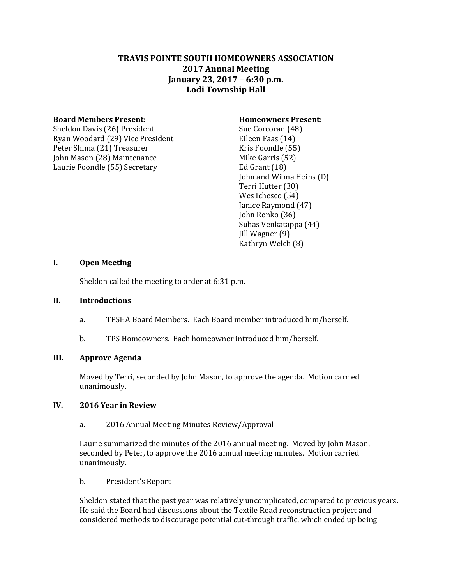# **TRAVIS POINTE SOUTH HOMEOWNERS ASSOCIATION 2017 Annual Meeting January 23, 2017 – 6:30 p.m. Lodi Township Hall**

#### **Board Members Present: Homeowners Present:**

Sheldon Davis (26) President Sue Corcoran (48) Ryan Woodard (29) Vice President Eileen Faas (14) Peter Shima (21) Treasurer Kris Foondle (55) John Mason (28) Maintenance Mike Garris (52) Laurie Foondle (55) Secretary Ed Grant (18)

John and Wilma Heins (D) Terri Hutter (30) Wes Ichesco (54) Janice Raymond (47) John Renko (36) Suhas Venkatappa (44) Jill Wagner (9) Kathryn Welch (8)

# **I. Open Meeting**

Sheldon called the meeting to order at 6:31 p.m.

#### **II. Introductions**

- a. TPSHA Board Members. Each Board member introduced him/herself.
- b. TPS Homeowners. Each homeowner introduced him/herself.

# **III. Approve Agenda**

Moved by Terri, seconded by John Mason, to approve the agenda. Motion carried unanimously.

# **IV. 2016 Year in Review**

a. 2016 Annual Meeting Minutes Review/Approval

Laurie summarized the minutes of the 2016 annual meeting. Moved by John Mason, seconded by Peter, to approve the 2016 annual meeting minutes. Motion carried unanimously.

b. President's Report

Sheldon stated that the past year was relatively uncomplicated, compared to previous years. He said the Board had discussions about the Textile Road reconstruction project and considered methods to discourage potential cut-through traffic, which ended up being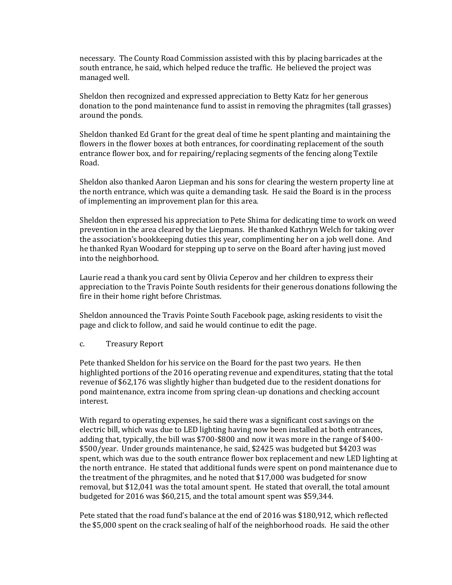necessary. The County Road Commission assisted with this by placing barricades at the south entrance, he said, which helped reduce the traffic. He believed the project was managed well.

Sheldon then recognized and expressed appreciation to Betty Katz for her generous donation to the pond maintenance fund to assist in removing the phragmites (tall grasses) around the ponds.

Sheldon thanked Ed Grant for the great deal of time he spent planting and maintaining the flowers in the flower boxes at both entrances, for coordinating replacement of the south entrance flower box, and for repairing/replacing segments of the fencing along Textile Road.

Sheldon also thanked Aaron Liepman and his sons for clearing the western property line at the north entrance, which was quite a demanding task. He said the Board is in the process of implementing an improvement plan for this area.

Sheldon then expressed his appreciation to Pete Shima for dedicating time to work on weed prevention in the area cleared by the Liepmans. He thanked Kathryn Welch for taking over the association's bookkeeping duties this year, complimenting her on a job well done. And he thanked Ryan Woodard for stepping up to serve on the Board after having just moved into the neighborhood.

Laurie read a thank you card sent by Olivia Ceperov and her children to express their appreciation to the Travis Pointe South residents for their generous donations following the fire in their home right before Christmas.

Sheldon announced the Travis Pointe South Facebook page, asking residents to visit the page and click to follow, and said he would continue to edit the page.

# c. Treasury Report

Pete thanked Sheldon for his service on the Board for the past two years. He then highlighted portions of the 2016 operating revenue and expenditures, stating that the total revenue of \$62,176 was slightly higher than budgeted due to the resident donations for pond maintenance, extra income from spring clean-up donations and checking account interest.

With regard to operating expenses, he said there was a significant cost savings on the electric bill, which was due to LED lighting having now been installed at both entrances, adding that, typically, the bill was \$700-\$800 and now it was more in the range of \$400- \$500/year. Under grounds maintenance, he said, \$2425 was budgeted but \$4203 was spent, which was due to the south entrance flower box replacement and new LED lighting at the north entrance. He stated that additional funds were spent on pond maintenance due to the treatment of the phragmites, and he noted that \$17,000 was budgeted for snow removal, but \$12,041 was the total amount spent. He stated that overall, the total amount budgeted for 2016 was \$60,215, and the total amount spent was \$59,344.

Pete stated that the road fund's balance at the end of 2016 was \$180,912, which reflected the \$5,000 spent on the crack sealing of half of the neighborhood roads. He said the other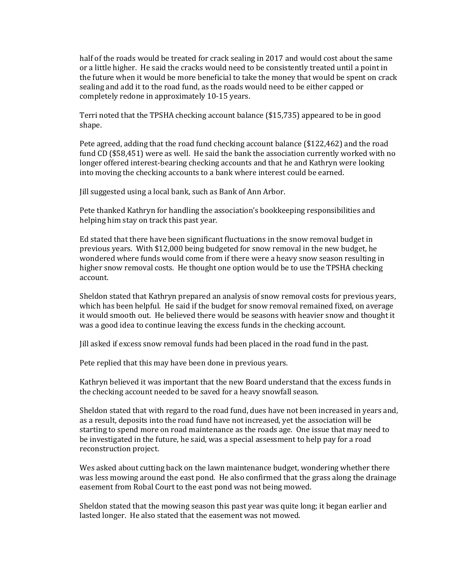half of the roads would be treated for crack sealing in 2017 and would cost about the same or a little higher. He said the cracks would need to be consistently treated until a point in the future when it would be more beneficial to take the money that would be spent on crack sealing and add it to the road fund, as the roads would need to be either capped or completely redone in approximately 10-15 years.

Terri noted that the TPSHA checking account balance (\$15,735) appeared to be in good shape.

Pete agreed, adding that the road fund checking account balance (\$122,462) and the road fund CD (\$58,451) were as well. He said the bank the association currently worked with no longer offered interest-bearing checking accounts and that he and Kathryn were looking into moving the checking accounts to a bank where interest could be earned.

Jill suggested using a local bank, such as Bank of Ann Arbor.

Pete thanked Kathryn for handling the association's bookkeeping responsibilities and helping him stay on track this past year.

Ed stated that there have been significant fluctuations in the snow removal budget in previous years. With \$12,000 being budgeted for snow removal in the new budget, he wondered where funds would come from if there were a heavy snow season resulting in higher snow removal costs. He thought one option would be to use the TPSHA checking account.

Sheldon stated that Kathryn prepared an analysis of snow removal costs for previous years, which has been helpful. He said if the budget for snow removal remained fixed, on average it would smooth out. He believed there would be seasons with heavier snow and thought it was a good idea to continue leaving the excess funds in the checking account.

Jill asked if excess snow removal funds had been placed in the road fund in the past.

Pete replied that this may have been done in previous years.

Kathryn believed it was important that the new Board understand that the excess funds in the checking account needed to be saved for a heavy snowfall season.

Sheldon stated that with regard to the road fund, dues have not been increased in years and, as a result, deposits into the road fund have not increased, yet the association will be starting to spend more on road maintenance as the roads age. One issue that may need to be investigated in the future, he said, was a special assessment to help pay for a road reconstruction project.

Wes asked about cutting back on the lawn maintenance budget, wondering whether there was less mowing around the east pond. He also confirmed that the grass along the drainage easement from Robal Court to the east pond was not being mowed.

Sheldon stated that the mowing season this past year was quite long; it began earlier and lasted longer. He also stated that the easement was not mowed.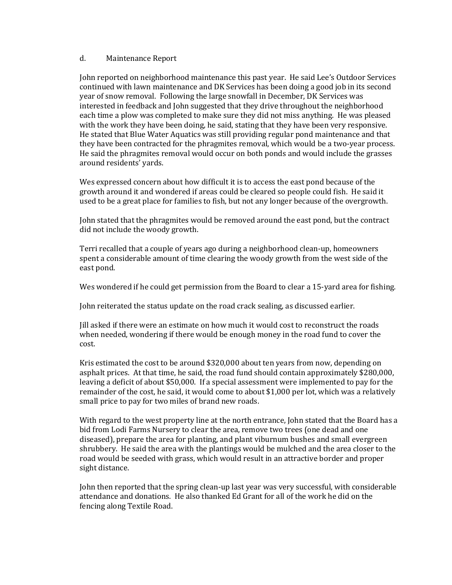#### d. Maintenance Report

John reported on neighborhood maintenance this past year. He said Lee's Outdoor Services continued with lawn maintenance and DK Services has been doing a good job in its second year of snow removal. Following the large snowfall in December, DK Services was interested in feedback and John suggested that they drive throughout the neighborhood each time a plow was completed to make sure they did not miss anything. He was pleased with the work they have been doing, he said, stating that they have been very responsive. He stated that Blue Water Aquatics was still providing regular pond maintenance and that they have been contracted for the phragmites removal, which would be a two-year process. He said the phragmites removal would occur on both ponds and would include the grasses around residents' yards.

Wes expressed concern about how difficult it is to access the east pond because of the growth around it and wondered if areas could be cleared so people could fish. He said it used to be a great place for families to fish, but not any longer because of the overgrowth.

John stated that the phragmites would be removed around the east pond, but the contract did not include the woody growth.

Terri recalled that a couple of years ago during a neighborhood clean-up, homeowners spent a considerable amount of time clearing the woody growth from the west side of the east pond.

Wes wondered if he could get permission from the Board to clear a 15-yard area for fishing.

John reiterated the status update on the road crack sealing, as discussed earlier.

Jill asked if there were an estimate on how much it would cost to reconstruct the roads when needed, wondering if there would be enough money in the road fund to cover the cost.

Kris estimated the cost to be around \$320,000 about ten years from now, depending on asphalt prices. At that time, he said, the road fund should contain approximately \$280,000, leaving a deficit of about \$50,000. If a special assessment were implemented to pay for the remainder of the cost, he said, it would come to about \$1,000 per lot, which was a relatively small price to pay for two miles of brand new roads.

With regard to the west property line at the north entrance, John stated that the Board has a bid from Lodi Farms Nursery to clear the area, remove two trees (one dead and one diseased), prepare the area for planting, and plant viburnum bushes and small evergreen shrubbery. He said the area with the plantings would be mulched and the area closer to the road would be seeded with grass, which would result in an attractive border and proper sight distance.

John then reported that the spring clean-up last year was very successful, with considerable attendance and donations. He also thanked Ed Grant for all of the work he did on the fencing along Textile Road.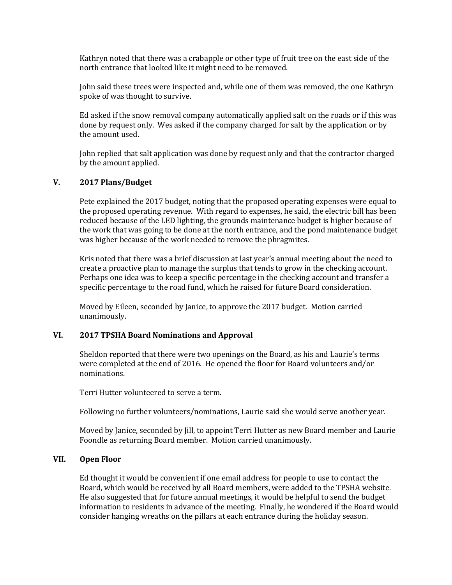Kathryn noted that there was a crabapple or other type of fruit tree on the east side of the north entrance that looked like it might need to be removed.

John said these trees were inspected and, while one of them was removed, the one Kathryn spoke of was thought to survive.

Ed asked if the snow removal company automatically applied salt on the roads or if this was done by request only. Wes asked if the company charged for salt by the application or by the amount used.

John replied that salt application was done by request only and that the contractor charged by the amount applied.

# **V. 2017 Plans/Budget**

Pete explained the 2017 budget, noting that the proposed operating expenses were equal to the proposed operating revenue. With regard to expenses, he said, the electric bill has been reduced because of the LED lighting, the grounds maintenance budget is higher because of the work that was going to be done at the north entrance, and the pond maintenance budget was higher because of the work needed to remove the phragmites.

Kris noted that there was a brief discussion at last year's annual meeting about the need to create a proactive plan to manage the surplus that tends to grow in the checking account. Perhaps one idea was to keep a specific percentage in the checking account and transfer a specific percentage to the road fund, which he raised for future Board consideration.

Moved by Eileen, seconded by Janice, to approve the 2017 budget. Motion carried unanimously.

# **VI. 2017 TPSHA Board Nominations and Approval**

Sheldon reported that there were two openings on the Board, as his and Laurie's terms were completed at the end of 2016. He opened the floor for Board volunteers and/or nominations.

Terri Hutter volunteered to serve a term.

Following no further volunteers/nominations, Laurie said she would serve another year.

Moved by Janice, seconded by Jill, to appoint Terri Hutter as new Board member and Laurie Foondle as returning Board member. Motion carried unanimously.

#### **VII. Open Floor**

Ed thought it would be convenient if one email address for people to use to contact the Board, which would be received by all Board members, were added to the TPSHA website. He also suggested that for future annual meetings, it would be helpful to send the budget information to residents in advance of the meeting. Finally, he wondered if the Board would consider hanging wreaths on the pillars at each entrance during the holiday season.